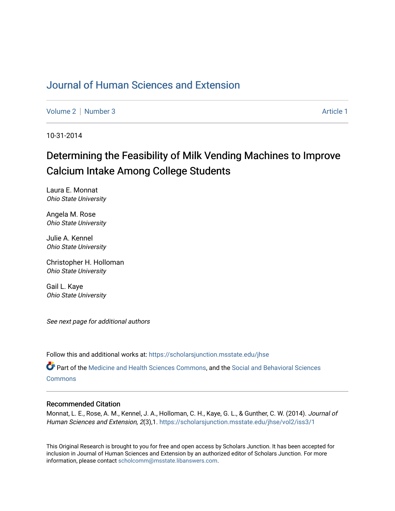### [Journal of Human Sciences and Extension](https://scholarsjunction.msstate.edu/jhse)

[Volume 2](https://scholarsjunction.msstate.edu/jhse/vol2) | [Number 3](https://scholarsjunction.msstate.edu/jhse/vol2/iss3) Article 1

10-31-2014

# Determining the Feasibility of Milk Vending Machines to Improve Calcium Intake Among College Students

Laura E. Monnat Ohio State University

Angela M. Rose Ohio State University

Julie A. Kennel Ohio State University

Christopher H. Holloman Ohio State University

Gail L. Kaye Ohio State University

See next page for additional authors

Follow this and additional works at: [https://scholarsjunction.msstate.edu/jhse](https://scholarsjunction.msstate.edu/jhse?utm_source=scholarsjunction.msstate.edu%2Fjhse%2Fvol2%2Fiss3%2F1&utm_medium=PDF&utm_campaign=PDFCoverPages)

Part of the [Medicine and Health Sciences Commons,](http://network.bepress.com/hgg/discipline/648?utm_source=scholarsjunction.msstate.edu%2Fjhse%2Fvol2%2Fiss3%2F1&utm_medium=PDF&utm_campaign=PDFCoverPages) and the [Social and Behavioral Sciences](http://network.bepress.com/hgg/discipline/316?utm_source=scholarsjunction.msstate.edu%2Fjhse%2Fvol2%2Fiss3%2F1&utm_medium=PDF&utm_campaign=PDFCoverPages) **[Commons](http://network.bepress.com/hgg/discipline/316?utm_source=scholarsjunction.msstate.edu%2Fjhse%2Fvol2%2Fiss3%2F1&utm_medium=PDF&utm_campaign=PDFCoverPages)** 

#### Recommended Citation

Monnat, L. E., Rose, A. M., Kennel, J. A., Holloman, C. H., Kaye, G. L., & Gunther, C. W. (2014). Journal of Human Sciences and Extension, 2(3),1. [https://scholarsjunction.msstate.edu/jhse/vol2/iss3/1](https://scholarsjunction.msstate.edu/jhse/vol2/iss3/1?utm_source=scholarsjunction.msstate.edu%2Fjhse%2Fvol2%2Fiss3%2F1&utm_medium=PDF&utm_campaign=PDFCoverPages) 

This Original Research is brought to you for free and open access by Scholars Junction. It has been accepted for inclusion in Journal of Human Sciences and Extension by an authorized editor of Scholars Junction. For more information, please contact [scholcomm@msstate.libanswers.com](mailto:scholcomm@msstate.libanswers.com).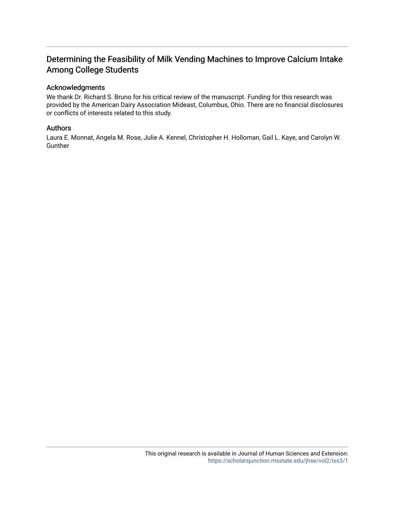### Determining the Feasibility of Milk Vending Machines to Improve Calcium Intake Among College Students

#### Acknowledgments

We thank Dr. Richard S. Bruno for his critical review of the manuscript. Funding for this research was provided by the American Dairy Association Mideast, Columbus, Ohio. There are no financial disclosures or conflicts of interests related to this study.

#### Authors

Laura E. Monnat, Angela M. Rose, Julie A. Kennel, Christopher H. Holloman, Gail L. Kaye, and Carolyn W. Gunther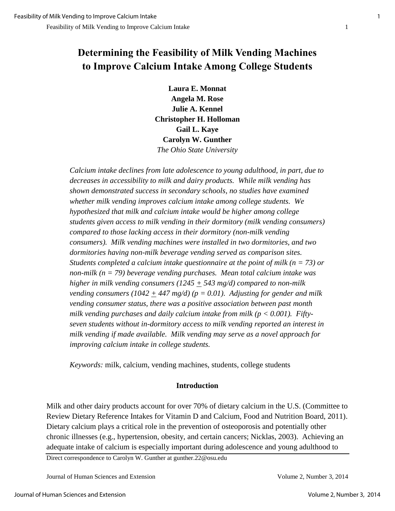## **Determining the Feasibility of Milk Vending Machines to Improve Calcium Intake Among College Students**

**Laura E. Monnat Angela M. Rose Julie A. Kennel Christopher H. Holloman Gail L. Kaye Carolyn W. Gunther**  *The Ohio State University*

*Calcium intake declines from late adolescence to young adulthood, in part, due to decreases in accessibility to milk and dairy products. While milk vending has shown demonstrated success in secondary schools, no studies have examined whether milk vending improves calcium intake among college students. We hypothesized that milk and calcium intake would be higher among college students given access to milk vending in their dormitory (milk vending consumers) compared to those lacking access in their dormitory (non-milk vending consumers). Milk vending machines were installed in two dormitories, and two dormitories having non-milk beverage vending served as comparison sites. Students completed a calcium intake questionnaire at the point of milk (n = 73) or non-milk (n = 79) beverage vending purchases. Mean total calcium intake was higher in milk vending consumers (1245 + 543 mg/d) compared to non-milk vending consumers (1042 + 447 mg/d) (p = 0.01). Adjusting for gender and milk vending consumer status, there was a positive association between past month*  milk vending purchases and daily calcium intake from milk ( $p < 0.001$ ). Fifty*seven students without in-dormitory access to milk vending reported an interest in milk vending if made available. Milk vending may serve as a novel approach for improving calcium intake in college students.* 

*Keywords:* milk, calcium, vending machines, students, college students

#### **Introduction**

Milk and other dairy products account for over 70% of dietary calcium in the U.S. (Committee to Review Dietary Reference Intakes for Vitamin D and Calcium, Food and Nutrition Board, 2011). Dietary calcium plays a critical role in the prevention of osteoporosis and potentially other chronic illnesses (e.g., hypertension, obesity, and certain cancers; Nicklas, 2003). Achieving an adequate intake of calcium is especially important during adolescence and young adulthood to

Direct correspondence to Carolyn W. Gunther at gunther.22@osu.edu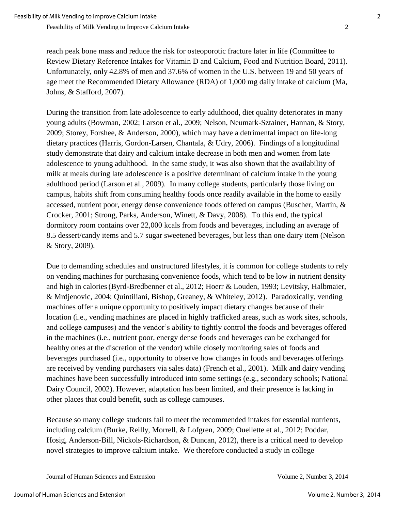reach peak bone mass and reduce the risk for osteoporotic fracture later in life (Committee to Review Dietary Reference Intakes for Vitamin D and Calcium, Food and Nutrition Board, 2011). Unfortunately, only 42.8% of men and 37.6% of women in the U.S. between 19 and 50 years of age meet the Recommended Dietary Allowance (RDA) of 1,000 mg daily intake of calcium (Ma, Johns, & Stafford, 2007).

During the transition from late adolescence to early adulthood, diet quality deteriorates in many young adults (Bowman, 2002; Larson et al., 2009; Nelson, Neumark-Sztainer, Hannan, & Story, 2009; Storey, Forshee, & Anderson, 2000), which may have a detrimental impact on life-long dietary practices (Harris, Gordon-Larsen, Chantala, & Udry, 2006). Findings of a longitudinal study demonstrate that dairy and calcium intake decrease in both men and women from late adolescence to young adulthood. In the same study, it was also shown that the availability of milk at meals during late adolescence is a positive determinant of calcium intake in the young adulthood period (Larson et al., 2009). In many college students, particularly those living on campus, habits shift from consuming healthy foods once readily available in the home to easily accessed, nutrient poor, energy dense convenience foods offered on campus (Buscher, Martin, & Crocker, 2001; Strong, Parks, Anderson, Winett, & Davy, 2008). To this end, the typical dormitory room contains over 22,000 kcals from foods and beverages, including an average of 8.5 dessert/candy items and 5.7 sugar sweetened beverages, but less than one dairy item (Nelson & Story, 2009).

Due to demanding schedules and unstructured lifestyles, it is common for college students to rely on vending machines for purchasing convenience foods, which tend to be low in nutrient density and high in calories(Byrd-Bredbenner et al., 2012; Hoerr & Louden, 1993; Levitsky, Halbmaier, & Mrdjenovic, 2004; Quintiliani, Bishop, Greaney, & Whiteley, 2012). Paradoxically, vending machines offer a unique opportunity to positively impact dietary changes because of their location (i.e., vending machines are placed in highly trafficked areas, such as work sites, schools, and college campuses) and the vendor's ability to tightly control the foods and beverages offered in the machines (i.e., nutrient poor, energy dense foods and beverages can be exchanged for healthy ones at the discretion of the vendor) while closely monitoring sales of foods and beverages purchased (i.e., opportunity to observe how changes in foods and beverages offerings are received by vending purchasers via sales data) (French et al., 2001). Milk and dairy vending machines have been successfully introduced into some settings (e.g., secondary schools; National Dairy Council, 2002). However, adaptation has been limited, and their presence is lacking in other places that could benefit, such as college campuses.

Because so many college students fail to meet the recommended intakes for essential nutrients, including calcium (Burke, Reilly, Morrell, & Lofgren, 2009; Ouellette et al., 2012; Poddar, Hosig, Anderson-Bill, Nickols-Richardson, & Duncan, 2012), there is a critical need to develop novel strategies to improve calcium intake. We therefore conducted a study in college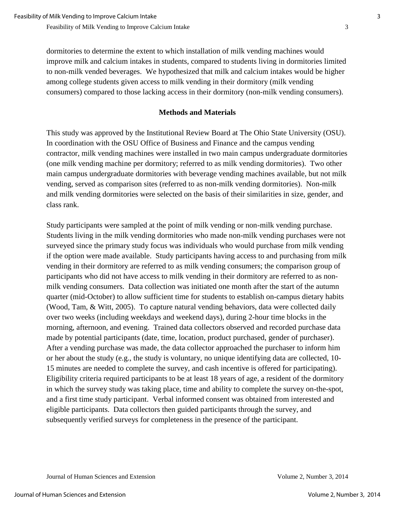dormitories to determine the extent to which installation of milk vending machines would improve milk and calcium intakes in students, compared to students living in dormitories limited to non-milk vended beverages. We hypothesized that milk and calcium intakes would be higher among college students given access to milk vending in their dormitory (milk vending consumers) compared to those lacking access in their dormitory (non-milk vending consumers).

#### **Methods and Materials**

This study was approved by the Institutional Review Board at The Ohio State University (OSU). In coordination with the OSU Office of Business and Finance and the campus vending contractor, milk vending machines were installed in two main campus undergraduate dormitories (one milk vending machine per dormitory; referred to as milk vending dormitories). Two other main campus undergraduate dormitories with beverage vending machines available, but not milk vending, served as comparison sites (referred to as non-milk vending dormitories). Non-milk and milk vending dormitories were selected on the basis of their similarities in size, gender, and class rank.

Study participants were sampled at the point of milk vending or non-milk vending purchase. Students living in the milk vending dormitories who made non-milk vending purchases were not surveyed since the primary study focus was individuals who would purchase from milk vending if the option were made available. Study participants having access to and purchasing from milk vending in their dormitory are referred to as milk vending consumers; the comparison group of participants who did not have access to milk vending in their dormitory are referred to as nonmilk vending consumers. Data collection was initiated one month after the start of the autumn quarter (mid-October) to allow sufficient time for students to establish on-campus dietary habits (Wood, Tam, & Witt, 2005). To capture natural vending behaviors, data were collected daily over two weeks (including weekdays and weekend days), during 2-hour time blocks in the morning, afternoon, and evening. Trained data collectors observed and recorded purchase data made by potential participants (date, time, location, product purchased, gender of purchaser). After a vending purchase was made, the data collector approached the purchaser to inform him or her about the study (e.g., the study is voluntary, no unique identifying data are collected, 10- 15 minutes are needed to complete the survey, and cash incentive is offered for participating). Eligibility criteria required participants to be at least 18 years of age, a resident of the dormitory in which the survey study was taking place, time and ability to complete the survey on-the-spot, and a first time study participant. Verbal informed consent was obtained from interested and eligible participants. Data collectors then guided participants through the survey, and subsequently verified surveys for completeness in the presence of the participant.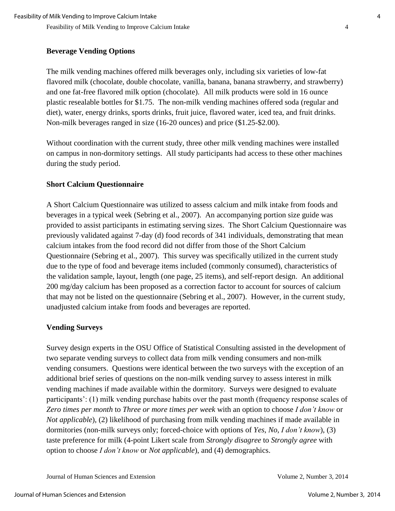#### **Beverage Vending Options**

The milk vending machines offered milk beverages only, including six varieties of low-fat flavored milk (chocolate, double chocolate, vanilla, banana, banana strawberry, and strawberry) and one fat-free flavored milk option (chocolate). All milk products were sold in 16 ounce plastic resealable bottles for \$1.75. The non-milk vending machines offered soda (regular and diet), water, energy drinks, sports drinks, fruit juice, flavored water, iced tea, and fruit drinks. Non-milk beverages ranged in size (16-20 ounces) and price (\$1.25-\$2.00).

Without coordination with the current study, three other milk vending machines were installed on campus in non-dormitory settings. All study participants had access to these other machines during the study period.

#### **Short Calcium Questionnaire**

A Short Calcium Questionnaire was utilized to assess calcium and milk intake from foods and beverages in a typical week (Sebring et al., 2007). An accompanying portion size guide was provided to assist participants in estimating serving sizes. The Short Calcium Questionnaire was previously validated against 7-day (d) food records of 341 individuals, demonstrating that mean calcium intakes from the food record did not differ from those of the Short Calcium Questionnaire (Sebring et al., 2007). This survey was specifically utilized in the current study due to the type of food and beverage items included (commonly consumed), characteristics of the validation sample, layout, length (one page, 25 items), and self-report design. An additional 200 mg/day calcium has been proposed as a correction factor to account for sources of calcium that may not be listed on the questionnaire (Sebring et al., 2007). However, in the current study, unadjusted calcium intake from foods and beverages are reported.

#### **Vending Surveys**

Survey design experts in the OSU Office of Statistical Consulting assisted in the development of two separate vending surveys to collect data from milk vending consumers and non-milk vending consumers. Questions were identical between the two surveys with the exception of an additional brief series of questions on the non-milk vending survey to assess interest in milk vending machines if made available within the dormitory. Surveys were designed to evaluate participants': (1) milk vending purchase habits over the past month (frequency response scales of *Zero times per month* to *Three or more times per week* with an option to choose *I don't know* or *Not applicable*), (2) likelihood of purchasing from milk vending machines if made available in dormitories (non-milk surveys only; forced-choice with options of *Yes*, *No*, *I don't know*), (3) taste preference for milk (4-point Likert scale from *Strongly disagree* to *Strongly agree* with option to choose *I don't know* or *Not applicable*), and (4) demographics.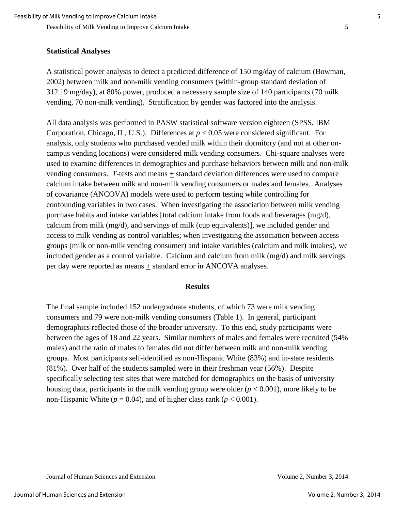#### **Statistical Analyses**

A statistical power analysis to detect a predicted difference of 150 mg/day of calcium (Bowman, 2002) between milk and non-milk vending consumers (within-group standard deviation of 312.19 mg/day), at 80% power, produced a necessary sample size of 140 participants (70 milk vending, 70 non-milk vending). Stratification by gender was factored into the analysis.

All data analysis was performed in PASW statistical software version eighteen (SPSS, IBM Corporation, Chicago, IL, U.S.). Differences at *p* < 0.05 were considered significant. For analysis, only students who purchased vended milk within their dormitory (and not at other oncampus vending locations) were considered milk vending consumers. Chi-square analyses were used to examine differences in demographics and purchase behaviors between milk and non-milk vending consumers. *T*-tests and means + standard deviation differences were used to compare calcium intake between milk and non-milk vending consumers or males and females. Analyses of covariance (ANCOVA) models were used to perform testing while controlling for confounding variables in two cases. When investigating the association between milk vending purchase habits and intake variables [total calcium intake from foods and beverages  $(mg/d)$ , calcium from milk (mg/d), and servings of milk (cup equivalents)], we included gender and access to milk vending as control variables; when investigating the association between access groups (milk or non-milk vending consumer) and intake variables (calcium and milk intakes), we included gender as a control variable. Calcium and calcium from milk (mg/d) and milk servings per day were reported as means  $\pm$  standard error in ANCOVA analyses.

#### **Results**

The final sample included 152 undergraduate students, of which 73 were milk vending consumers and 79 were non-milk vending consumers (Table 1). In general, participant demographics reflected those of the broader university. To this end, study participants were between the ages of 18 and 22 years. Similar numbers of males and females were recruited (54% males) and the ratio of males to females did not differ between milk and non-milk vending groups. Most participants self-identified as non-Hispanic White (83%) and in-state residents (81%). Over half of the students sampled were in their freshman year (56%). Despite specifically selecting test sites that were matched for demographics on the basis of university housing data, participants in the milk vending group were older  $(p < 0.001)$ , more likely to be non-Hispanic White ( $p = 0.04$ ), and of higher class rank ( $p < 0.001$ ).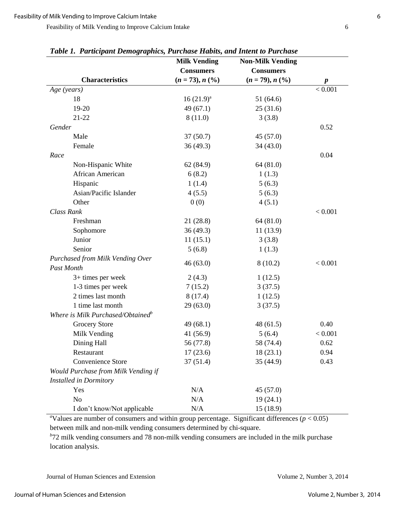| гаоне 1. ганисірат Demographics, ғиғстазе ғылыз, апа ітет ю ғиғстазе | <b>Milk Vending</b> | <b>Non-Milk Vending</b> |                  |
|----------------------------------------------------------------------|---------------------|-------------------------|------------------|
|                                                                      | <b>Consumers</b>    | <b>Consumers</b>        |                  |
| <b>Characteristics</b>                                               | $(n = 73), n (%)$   | $(n = 79), n (%)$       | $\boldsymbol{p}$ |
| Age (years)                                                          |                     |                         | < 0.001          |
| 18                                                                   | $16(21.9)^a$        | 51(64.6)                |                  |
| 19-20                                                                | 49(67.1)            | 25(31.6)                |                  |
| 21-22                                                                | 8(11.0)             | 3(3.8)                  |                  |
| Gender                                                               |                     |                         | 0.52             |
| Male                                                                 | 37(50.7)            | 45(57.0)                |                  |
| Female                                                               | 36 (49.3)           | 34(43.0)                |                  |
| Race                                                                 |                     |                         | 0.04             |
| Non-Hispanic White                                                   | 62 (84.9)           | 64 (81.0)               |                  |
| African American                                                     | 6(8.2)              | 1(1.3)                  |                  |
| Hispanic                                                             | 1(1.4)              | 5(6.3)                  |                  |
| Asian/Pacific Islander                                               | 4(5.5)              | 5(6.3)                  |                  |
| Other                                                                | 0(0)                | 4(5.1)                  |                  |
| Class Rank                                                           |                     |                         | < 0.001          |
| Freshman                                                             | 21 (28.8)           | 64 (81.0)               |                  |
| Sophomore                                                            | 36 (49.3)           | 11(13.9)                |                  |
| Junior                                                               | 11(15.1)            | 3(3.8)                  |                  |
| Senior                                                               | 5(6.8)              | 1(1.3)                  |                  |
| Purchased from Milk Vending Over                                     | 46(63.0)            | 8(10.2)                 | < 0.001          |
| Past Month                                                           |                     |                         |                  |
| 3+ times per week                                                    | 2(4.3)              | 1(12.5)                 |                  |
| 1-3 times per week                                                   | 7(15.2)             | 3(37.5)                 |                  |
| 2 times last month                                                   | 8(17.4)             | 1(12.5)                 |                  |
| 1 time last month                                                    | 29(63.0)            | 3(37.5)                 |                  |
| Where is Milk Purchased/Obtained <sup>b</sup>                        |                     |                         |                  |
| <b>Grocery Store</b>                                                 | 49(68.1)            | 48(61.5)                | 0.40             |
| Milk Vending                                                         | 41 (56.9)           | 5(6.4)                  | < 0.001          |
| Dining Hall                                                          | 56 (77.8)           | 58 (74.4)               | 0.62             |
| Restaurant                                                           | 17(23.6)            | 18(23.1)                | 0.94             |
| Convenience Store                                                    | 37(51.4)            | 35(44.9)                | 0.43             |
| Would Purchase from Milk Vending if                                  |                     |                         |                  |
| <b>Installed in Dormitory</b>                                        |                     |                         |                  |
| Yes                                                                  | N/A                 | 45(57.0)                |                  |
| N <sub>o</sub>                                                       | N/A                 | 19(24.1)                |                  |
| I don't know/Not applicable                                          | N/A                 | 15(18.9)                |                  |

*Table 1. Participant Demographics, Purchase Habits, and Intent to Purchase* 

<sup>a</sup>Values are number of consumers and within group percentage. Significant differences ( $p < 0.05$ ) between milk and non-milk vending consumers determined by chi-square.

<sup>b</sup><sup>72</sup> milk vending consumers and 78 non-milk vending consumers are included in the milk purchase location analysis.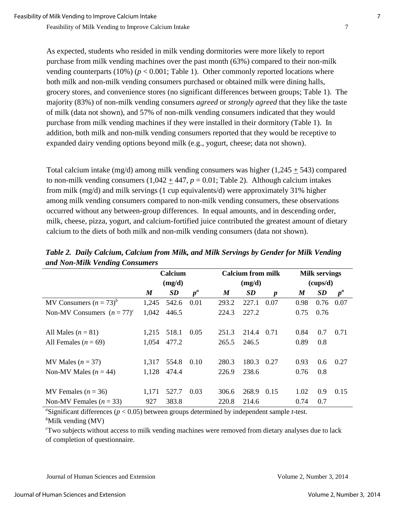As expected, students who resided in milk vending dormitories were more likely to report purchase from milk vending machines over the past month (63%) compared to their non-milk vending counterparts (10%) ( $p < 0.001$ ; Table 1). Other commonly reported locations where both milk and non-milk vending consumers purchased or obtained milk were dining halls, grocery stores, and convenience stores (no significant differences between groups; Table 1). The majority (83%) of non-milk vending consumers *agreed* or *strongly agreed* that they like the taste of milk (data not shown), and 57% of non-milk vending consumers indicated that they would purchase from milk vending machines if they were installed in their dormitory (Table 1). In addition, both milk and non-milk vending consumers reported that they would be receptive to expanded dairy vending options beyond milk (e.g., yogurt, cheese; data not shown).

Total calcium intake (mg/d) among milk vending consumers was higher  $(1,245 \pm 543)$  compared to non-milk vending consumers  $(1,042 \pm 447, p = 0.01;$  Table 2). Although calcium intakes from milk (mg/d) and milk servings (1 cup equivalents/d) were approximately 31% higher among milk vending consumers compared to non-milk vending consumers, these observations occurred without any between-group differences. In equal amounts, and in descending order, milk, cheese, pizza, yogurt, and calcium-fortified juice contributed the greatest amount of dietary calcium to the diets of both milk and non-milk vending consumers (data not shown).

|                               | Calcium<br>(mg/d) |           | <b>Calcium from milk</b><br>(mg/d) |                  |           | <b>Milk servings</b><br>(cups/d) |                  |           |       |
|-------------------------------|-------------------|-----------|------------------------------------|------------------|-----------|----------------------------------|------------------|-----------|-------|
|                               |                   |           |                                    |                  |           |                                  |                  |           |       |
|                               | $\boldsymbol{M}$  | <b>SD</b> | $p^a$                              | $\boldsymbol{M}$ | <b>SD</b> | $\boldsymbol{p}$                 | $\boldsymbol{M}$ | <b>SD</b> | $p^a$ |
| MV Consumers $(n = 73)^b$     | 1,245             | 542.6     | 0.01                               | 293.2            | 227.1     | 0.07                             | 0.98             | 0.76      | 0.07  |
| Non-MV Consumers $(n = 77)^c$ | 1,042             | 446.5     |                                    | 224.3            | 227.2     |                                  | 0.75             | 0.76      |       |
|                               |                   |           |                                    |                  |           |                                  |                  |           |       |
| All Males $(n = 81)$          | 1.215             | 518.1     | 0.05                               | 251.3            | 214.4     | 0.71                             | 0.84             | 0.7       | 0.71  |
| All Females $(n = 69)$        | 1,054             | 477.2     |                                    | 265.5            | 246.5     |                                  | 0.89             | 0.8       |       |
|                               |                   |           |                                    |                  |           |                                  |                  |           |       |
| MV Males $(n = 37)$           | 1,317             | 554.8     | 0.10                               | 280.3            | 180.3     | 0.27                             | 0.93             | 0.6       | 0.27  |
| Non-MV Males $(n = 44)$       | 1,128             | 474.4     |                                    | 226.9            | 238.6     |                                  | 0.76             | 0.8       |       |
|                               |                   |           |                                    |                  |           |                                  |                  |           |       |
| MV Females ( $n = 36$ )       | 1,171             | 527.7     | 0.03                               | 306.6            | 268.9     | 0.15                             | 1.02             | 0.9       | 0.15  |
| Non-MV Females $(n = 33)$     | 927               | 383.8     |                                    | 220.8            | 214.6     |                                  | 0.74             | 0.7       |       |

*Table 2. Daily Calcium, Calcium from Milk, and Milk Servings by Gender for Milk Vending and Non-Milk Vending Consumers*

<sup>a</sup>Significant differences ( $p < 0.05$ ) between groups determined by independent sample *t*-test. <sup>b</sup>Milk vending (MV)

*<sup>c</sup>*Two subjects without access to milk vending machines were removed from dietary analyses due to lack of completion of questionnaire.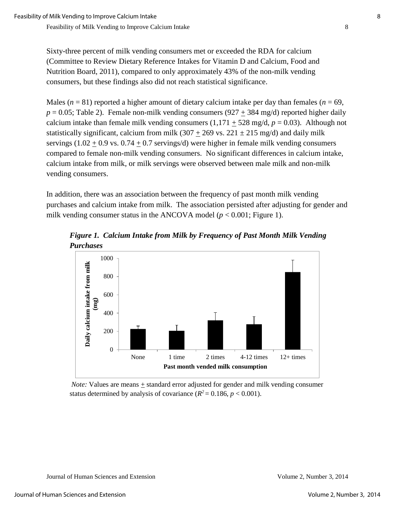Sixty-three percent of milk vending consumers met or exceeded the RDA for calcium (Committee to Review Dietary Reference Intakes for Vitamin D and Calcium, Food and Nutrition Board, 2011), compared to only approximately 43% of the non-milk vending consumers, but these findings also did not reach statistical significance.

Males  $(n = 81)$  reported a higher amount of dietary calcium intake per day than females  $(n = 69)$ ,  $p = 0.05$ ; Table 2). Female non-milk vending consumers (927 + 384 mg/d) reported higher daily calcium intake than female milk vending consumers  $(1,171 + 528 \text{ mg/d}, p = 0.03)$ . Although not statistically significant, calcium from milk  $(307 + 269 \text{ vs. } 221 \pm 215 \text{ mg/d})$  and daily milk servings  $(1.02 + 0.9 \text{ vs. } 0.74 + 0.7 \text{ servings/d})$  were higher in female milk vending consumers compared to female non-milk vending consumers. No significant differences in calcium intake, calcium intake from milk, or milk servings were observed between male milk and non-milk vending consumers.

In addition, there was an association between the frequency of past month milk vending purchases and calcium intake from milk. The association persisted after adjusting for gender and milk vending consumer status in the ANCOVA model ( $p < 0.001$ ; Figure 1).

*Figure 1. Calcium Intake from Milk by Frequency of Past Month Milk Vending Purchases* 



*Note:* Values are means + standard error adjusted for gender and milk vending consumer status determined by analysis of covariance  $(R^2 = 0.186, p < 0.001)$ .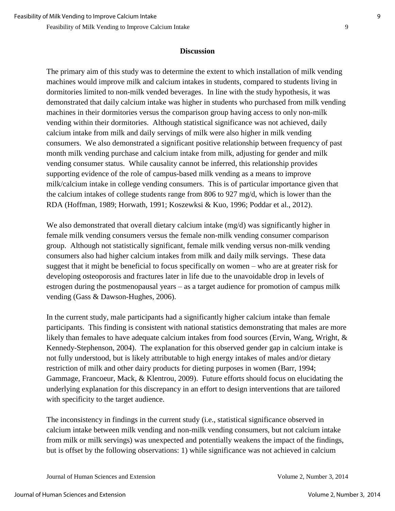#### **Discussion**

The primary aim of this study was to determine the extent to which installation of milk vending machines would improve milk and calcium intakes in students, compared to students living in dormitories limited to non-milk vended beverages. In line with the study hypothesis, it was demonstrated that daily calcium intake was higher in students who purchased from milk vending machines in their dormitories versus the comparison group having access to only non-milk vending within their dormitories. Although statistical significance was not achieved, daily calcium intake from milk and daily servings of milk were also higher in milk vending consumers. We also demonstrated a significant positive relationship between frequency of past month milk vending purchase and calcium intake from milk, adjusting for gender and milk vending consumer status. While causality cannot be inferred, this relationship provides supporting evidence of the role of campus-based milk vending as a means to improve milk/calcium intake in college vending consumers. This is of particular importance given that the calcium intakes of college students range from 806 to 927 mg/d, which is lower than the RDA (Hoffman, 1989; Horwath, 1991; Koszewksi & Kuo, 1996; Poddar et al., 2012).

We also demonstrated that overall dietary calcium intake (mg/d) was significantly higher in female milk vending consumers versus the female non-milk vending consumer comparison group. Although not statistically significant, female milk vending versus non-milk vending consumers also had higher calcium intakes from milk and daily milk servings. These data suggest that it might be beneficial to focus specifically on women – who are at greater risk for developing osteoporosis and fractures later in life due to the unavoidable drop in levels of estrogen during the postmenopausal years – as a target audience for promotion of campus milk vending (Gass & Dawson-Hughes, 2006).

In the current study, male participants had a significantly higher calcium intake than female participants. This finding is consistent with national statistics demonstrating that males are more likely than females to have adequate calcium intakes from food sources (Ervin, Wang, Wright, & Kennedy-Stephenson, 2004). The explanation for this observed gender gap in calcium intake is not fully understood, but is likely attributable to high energy intakes of males and/or dietary restriction of milk and other dairy products for dieting purposes in women (Barr, 1994; Gammage, Francoeur, Mack, & Klentrou, 2009). Future efforts should focus on elucidating the underlying explanation for this discrepancy in an effort to design interventions that are tailored with specificity to the target audience.

The inconsistency in findings in the current study (i.e., statistical significance observed in calcium intake between milk vending and non-milk vending consumers, but not calcium intake from milk or milk servings) was unexpected and potentially weakens the impact of the findings, but is offset by the following observations: 1) while significance was not achieved in calcium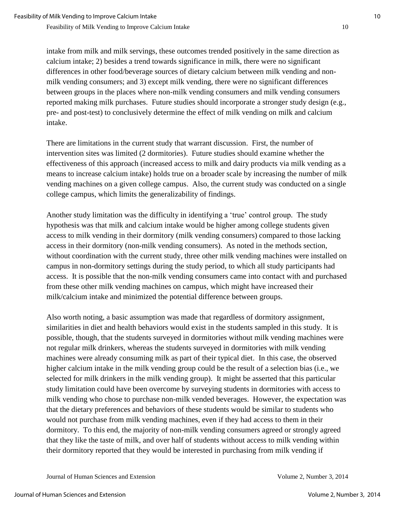intake from milk and milk servings, these outcomes trended positively in the same direction as calcium intake; 2) besides a trend towards significance in milk, there were no significant differences in other food/beverage sources of dietary calcium between milk vending and nonmilk vending consumers; and 3) except milk vending, there were no significant differences between groups in the places where non-milk vending consumers and milk vending consumers reported making milk purchases. Future studies should incorporate a stronger study design (e.g., pre- and post-test) to conclusively determine the effect of milk vending on milk and calcium intake.

There are limitations in the current study that warrant discussion. First, the number of intervention sites was limited (2 dormitories). Future studies should examine whether the effectiveness of this approach (increased access to milk and dairy products via milk vending as a means to increase calcium intake) holds true on a broader scale by increasing the number of milk vending machines on a given college campus. Also, the current study was conducted on a single college campus, which limits the generalizability of findings.

Another study limitation was the difficulty in identifying a 'true' control group. The study hypothesis was that milk and calcium intake would be higher among college students given access to milk vending in their dormitory (milk vending consumers) compared to those lacking access in their dormitory (non-milk vending consumers). As noted in the methods section, without coordination with the current study, three other milk vending machines were installed on campus in non-dormitory settings during the study period, to which all study participants had access. It is possible that the non-milk vending consumers came into contact with and purchased from these other milk vending machines on campus, which might have increased their milk/calcium intake and minimized the potential difference between groups.

Also worth noting, a basic assumption was made that regardless of dormitory assignment, similarities in diet and health behaviors would exist in the students sampled in this study. It is possible, though, that the students surveyed in dormitories without milk vending machines were not regular milk drinkers, whereas the students surveyed in dormitories with milk vending machines were already consuming milk as part of their typical diet. In this case, the observed higher calcium intake in the milk vending group could be the result of a selection bias (i.e., we selected for milk drinkers in the milk vending group). It might be asserted that this particular study limitation could have been overcome by surveying students in dormitories with access to milk vending who chose to purchase non-milk vended beverages. However, the expectation was that the dietary preferences and behaviors of these students would be similar to students who would not purchase from milk vending machines, even if they had access to them in their dormitory. To this end, the majority of non-milk vending consumers agreed or strongly agreed that they like the taste of milk, and over half of students without access to milk vending within their dormitory reported that they would be interested in purchasing from milk vending if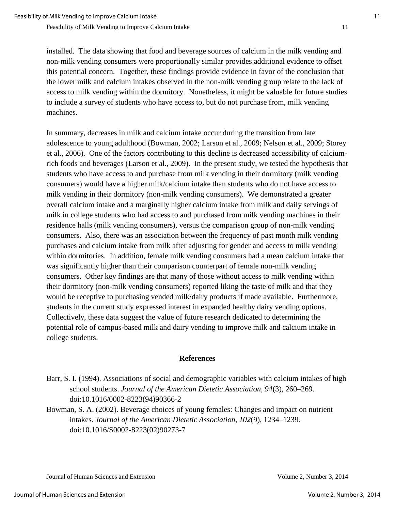installed. The data showing that food and beverage sources of calcium in the milk vending and non-milk vending consumers were proportionally similar provides additional evidence to offset this potential concern. Together, these findings provide evidence in favor of the conclusion that the lower milk and calcium intakes observed in the non-milk vending group relate to the lack of access to milk vending within the dormitory. Nonetheless, it might be valuable for future studies to include a survey of students who have access to, but do not purchase from, milk vending machines.

In summary, decreases in milk and calcium intake occur during the transition from late adolescence to young adulthood (Bowman, 2002; Larson et al., 2009; Nelson et al., 2009; Storey et al., 2006). One of the factors contributing to this decline is decreased accessibility of calciumrich foods and beverages (Larson et al., 2009). In the present study, we tested the hypothesis that students who have access to and purchase from milk vending in their dormitory (milk vending consumers) would have a higher milk/calcium intake than students who do not have access to milk vending in their dormitory (non-milk vending consumers). We demonstrated a greater overall calcium intake and a marginally higher calcium intake from milk and daily servings of milk in college students who had access to and purchased from milk vending machines in their residence halls (milk vending consumers), versus the comparison group of non-milk vending consumers. Also, there was an association between the frequency of past month milk vending purchases and calcium intake from milk after adjusting for gender and access to milk vending within dormitories. In addition, female milk vending consumers had a mean calcium intake that was significantly higher than their comparison counterpart of female non-milk vending consumers. Other key findings are that many of those without access to milk vending within their dormitory (non-milk vending consumers) reported liking the taste of milk and that they would be receptive to purchasing vended milk/dairy products if made available. Furthermore, students in the current study expressed interest in expanded healthy dairy vending options. Collectively, these data suggest the value of future research dedicated to determining the potential role of campus-based milk and dairy vending to improve milk and calcium intake in college students.

#### **References**

Barr, S. I. (1994). Associations of social and demographic variables with calcium intakes of high school students. *Journal of the American Dietetic Association, 94*(3), 260–269. doi:10.1016/0002-8223(94)90366-2

Bowman, S. A. (2002). Beverage choices of young females: Changes and impact on nutrient intakes. *Journal of the American Dietetic Association, 102*(9), 1234–1239. doi:10.1016/S0002-8223(02)90273-7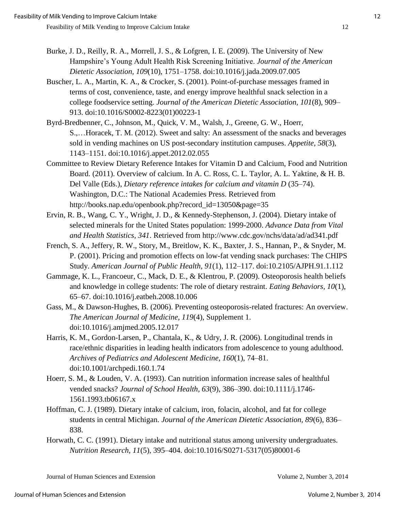- Burke, J. D., Reilly, R. A., Morrell, J. S., & Lofgren, I. E. (2009). The University of New Hampshire's Young Adult Health Risk Screening Initiative. *Journal of the American Dietetic Association, 109*(10), 1751–1758. doi:10.1016/j.jada.2009.07.005
- Buscher, L. A., Martin, K. A., & Crocker, S. (2001). Point-of-purchase messages framed in terms of cost, convenience, taste, and energy improve healthful snack selection in a college foodservice setting. *Journal of the American Dietetic Association, 101*(8), 909– 913. doi:10.1016/S0002-8223(01)00223-1
- Byrd-Bredbenner, C., Johnson, M., Quick, V. M., Walsh, J., Greene, G. W., Hoerr, S.,…Horacek, T. M. (2012). Sweet and salty: An assessment of the snacks and beverages sold in vending machines on US post-secondary institution campuses. *Appetite, 58*(3), 1143–1151. doi:10.1016/j.appet.2012.02.055
- Committee to Review Dietary Reference Intakes for Vitamin D and Calcium, Food and Nutrition Board. (2011). Overview of calcium. In A. C. Ross, C. L. Taylor, A. L. Yaktine, & H. B. Del Valle (Eds.), *Dietary reference intakes for calcium and vitamin D* (35–74). Washington, D.C.: The National Academies Press. Retrieved from http://books.nap.edu/openbook.php?record\_id=13050&page=35
- Ervin, R. B., Wang, C. Y., Wright, J. D., & Kennedy-Stephenson, J. (2004). Dietary intake of selected minerals for the United States population: 1999-2000. *Advance Data from Vital and Health Statistics, 341*. Retrieved from http://www.cdc.gov/nchs/data/ad/ad341.pdf
- French, S. A., Jeffery, R. W., Story, M., Breitlow, K. K., Baxter, J. S., Hannan, P., & Snyder, M. P. (2001). Pricing and promotion effects on low-fat vending snack purchases: The CHIPS Study. *American Journal of Public Health, 91*(1), 112–117. doi:10.2105/AJPH.91.1.112
- Gammage, K. L., Francoeur, C., Mack, D. E., & Klentrou, P. (2009). Osteoporosis health beliefs and knowledge in college students: The role of dietary restraint. *Eating Behaviors, 10*(1), 65–67. doi:10.1016/j.eatbeh.2008.10.006
- Gass, M., & Dawson-Hughes, B. (2006). Preventing osteoporosis-related fractures: An overview. *The American Journal of Medicine, 119*(4), Supplement 1. doi:10.1016/j.amjmed.2005.12.017
- Harris, K. M., Gordon-Larsen, P., Chantala, K., & Udry, J. R. (2006). Longitudinal trends in race/ethnic disparities in leading health indicators from adolescence to young adulthood. *Archives of Pediatrics and Adolescent Medicine, 160*(1), 74–81. doi:10.1001/archpedi.160.1.74
- Hoerr, S. M., & Louden, V. A. (1993). Can nutrition information increase sales of healthful vended snacks? *Journal of School Health, 63*(9), 386–390. doi:10.1111/j.1746- 1561.1993.tb06167.x
- Hoffman, C. J. (1989). Dietary intake of calcium, iron, folacin, alcohol, and fat for college students in central Michigan. *Journal of the American Dietetic Association, 89*(6), 836– 838.
- Horwath, C. C. (1991). Dietary intake and nutritional status among university undergraduates. *Nutrition Research, 11*(5), 395–404. doi:10.1016/S0271-5317(05)80001-6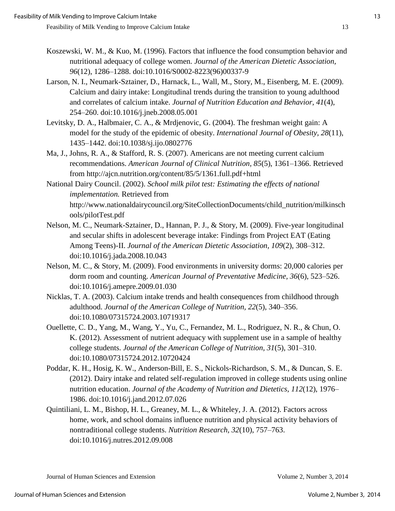- Koszewski, W. M., & Kuo, M. (1996). Factors that influence the food consumption behavior and nutritional adequacy of college women. *Journal of the American Dietetic Association, 96*(12), 1286–1288. doi:10.1016/S0002-8223(96)00337-9
- Larson, N. I., Neumark-Sztainer, D., Harnack, L., Wall, M., Story, M., Eisenberg, M. E. (2009). Calcium and dairy intake: Longitudinal trends during the transition to young adulthood and correlates of calcium intake. *Journal of Nutrition Education and Behavior, 41*(4), 254–260. doi:10.1016/j.jneb.2008.05.001
- Levitsky, D. A., Halbmaier, C. A., & Mrdjenovic, G. (2004). The freshman weight gain: A model for the study of the epidemic of obesity. *International Journal of Obesity, 28*(11), 1435–1442. doi:10.1038/sj.ijo.0802776
- Ma, J., Johns, R. A., & Stafford, R. S. (2007). Americans are not meeting current calcium recommendations. *American Journal of Clinical Nutrition, 85*(5), 1361–1366. Retrieved from http://ajcn.nutrition.org/content/85/5/1361.full.pdf+html
- National Dairy Council. (2002). *School milk pilot test: Estimating the effects of national implementation.* Retrieved from http://www.nationaldairycouncil.org/SiteCollectionDocuments/child\_nutrition/milkinsch ools/pilotTest.pdf
- Nelson, M. C., Neumark-Sztainer, D., Hannan, P. J., & Story, M. (2009). Five-year longitudinal and secular shifts in adolescent beverage intake: Findings from Project EAT (Eating Among Teens)-II. *Journal of the American Dietetic Association, 109*(2), 308–312. doi:10.1016/j.jada.2008.10.043
- Nelson, M. C., & Story, M. (2009). Food environments in university dorms: 20,000 calories per dorm room and counting. *American Journal of Preventative Medicine, 36*(6), 523–526. doi:10.1016/j.amepre.2009.01.030
- Nicklas, T. A. (2003). Calcium intake trends and health consequences from childhood through adulthood. *Journal of the American College of Nutrition, 22*(5), 340–356. doi:10.1080/07315724.2003.10719317
- Ouellette, C. D., Yang, M., Wang, Y., Yu, C., Fernandez, M. L., Rodriguez, N. R., & Chun, O. K. (2012). Assessment of nutrient adequacy with supplement use in a sample of healthy college students. *Journal of the American College of Nutrition, 31*(5), 301–310. doi:10.1080/07315724.2012.10720424
- Poddar, K. H., Hosig, K. W., Anderson-Bill, E. S., Nickols-Richardson, S. M., & Duncan, S. E. (2012). Dairy intake and related self-regulation improved in college students using online nutrition education. *Journal of the Academy of Nutrition and Dietetics, 112*(12), 1976– 1986. doi:10.1016/j.jand.2012.07.026
- Quintiliani, L. M., Bishop, H. L., Greaney, M. L., & Whiteley, J. A. (2012). Factors across home, work, and school domains influence nutrition and physical activity behaviors of nontraditional college students. *Nutrition Research, 32*(10), 757–763. doi:10.1016/j.nutres.2012.09.008